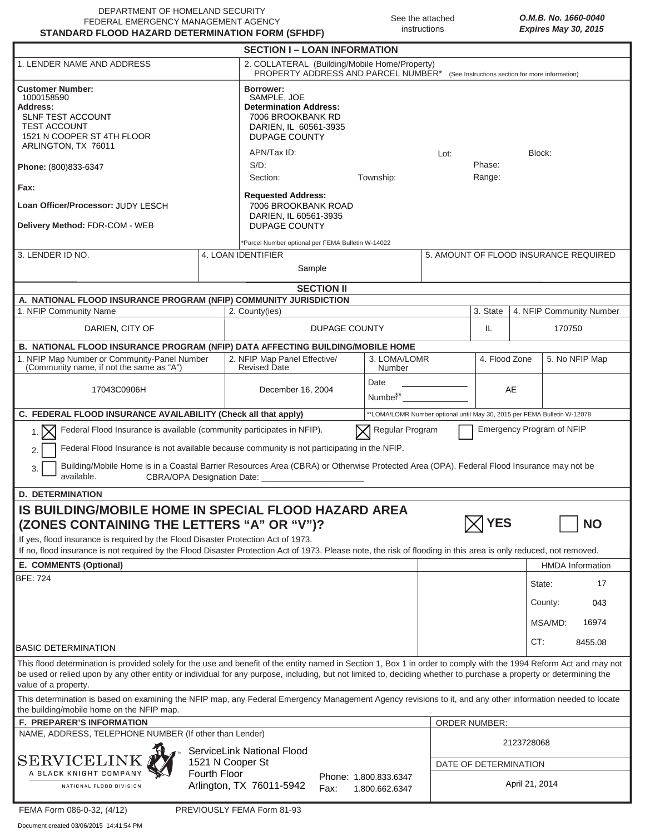| DEPARTMENT OF HOMELAND SECURITY                  |  |
|--------------------------------------------------|--|
| FEDERAL EMERGENCY MANAGEMENT AGENCY              |  |
| STANDARD FLOOD HAZARD DETERMINATION FORM (SFHDF) |  |

See the attached instructions

|                                                                                                                                                                                                                                                                                                                                                                                                                                                         |                                                                                                                                      | <b>SECTION I – LOAN INFORMATION</b>                                                               |                      |                          |            |                                       |                                 |         |                          |  |
|---------------------------------------------------------------------------------------------------------------------------------------------------------------------------------------------------------------------------------------------------------------------------------------------------------------------------------------------------------------------------------------------------------------------------------------------------------|--------------------------------------------------------------------------------------------------------------------------------------|---------------------------------------------------------------------------------------------------|----------------------|--------------------------|------------|---------------------------------------|---------------------------------|---------|--------------------------|--|
| 1. LENDER NAME AND ADDRESS                                                                                                                                                                                                                                                                                                                                                                                                                              | 2. COLLATERAL (Building/Mobile Home/Property)<br>PROPERTY ADDRESS AND PARCEL NUMBER* (See Instructions section for more information) |                                                                                                   |                      |                          |            |                                       |                                 |         |                          |  |
| <b>Customer Number:</b><br>1000158590<br>Address:<br><b>SLNF TEST ACCOUNT</b><br><b>TEST ACCOUNT</b><br>1521 N COOPER ST 4TH FLOOR<br>ARLINGTON, TX 76011                                                                                                                                                                                                                                                                                               | Borrower:<br>SAMPLE, JOE<br><b>Determination Address:</b><br>7006 BROOKBANK RD<br>DARIEN, IL 60561-3935<br><b>DUPAGE COUNTY</b>      |                                                                                                   |                      |                          |            |                                       |                                 |         |                          |  |
| Phone: (800)833-6347                                                                                                                                                                                                                                                                                                                                                                                                                                    | APN/Tax ID:<br>$S/D$ :                                                                                                               |                                                                                                   |                      | Block:<br>Lot:<br>Phase: |            |                                       |                                 |         |                          |  |
|                                                                                                                                                                                                                                                                                                                                                                                                                                                         | Section:                                                                                                                             |                                                                                                   | Township:            |                          | Range:     |                                       |                                 |         |                          |  |
| Fax:<br>Loan Officer/Processor: JUDY LESCH<br>Delivery Method: FDR-COM - WEB                                                                                                                                                                                                                                                                                                                                                                            |                                                                                                                                      | <b>Requested Address:</b><br>7006 BROOKBANK ROAD<br>DARIEN, IL 60561-3935<br><b>DUPAGE COUNTY</b> |                      |                          |            |                                       |                                 |         |                          |  |
| *Parcel Number optional per FEMA Bulletin W-14022                                                                                                                                                                                                                                                                                                                                                                                                       |                                                                                                                                      |                                                                                                   |                      |                          |            |                                       |                                 |         |                          |  |
| 3. LENDER ID NO.                                                                                                                                                                                                                                                                                                                                                                                                                                        |                                                                                                                                      | 4. LOAN IDENTIFIER<br>Sample                                                                      |                      |                          |            | 5. AMOUNT OF FLOOD INSURANCE REQUIRED |                                 |         |                          |  |
| <b>SECTION II</b>                                                                                                                                                                                                                                                                                                                                                                                                                                       |                                                                                                                                      |                                                                                                   |                      |                          |            |                                       |                                 |         |                          |  |
| A. NATIONAL FLOOD INSURANCE PROGRAM (NFIP) COMMUNITY JURISDICTION                                                                                                                                                                                                                                                                                                                                                                                       |                                                                                                                                      |                                                                                                   |                      |                          |            |                                       |                                 |         |                          |  |
| 1. NFIP Community Name                                                                                                                                                                                                                                                                                                                                                                                                                                  |                                                                                                                                      | 2. County(ies)                                                                                    |                      |                          |            | 3. State                              |                                 |         | 4. NFIP Community Number |  |
| DARIEN, CITY OF                                                                                                                                                                                                                                                                                                                                                                                                                                         |                                                                                                                                      |                                                                                                   | <b>DUPAGE COUNTY</b> |                          |            | IL                                    |                                 | 170750  |                          |  |
| B. NATIONAL FLOOD INSURANCE PROGRAM (NFIP) DATA AFFECTING BUILDING/MOBILE HOME                                                                                                                                                                                                                                                                                                                                                                          |                                                                                                                                      |                                                                                                   |                      |                          |            |                                       |                                 |         |                          |  |
| 1. NFIP Map Number or Community-Panel Number<br>(Community name, if not the same as "A")                                                                                                                                                                                                                                                                                                                                                                |                                                                                                                                      | 2. NFIP Map Panel Effective/<br><b>Revised Date</b>                                               |                      | 3. LOMA/LOMR<br>Number   |            |                                       | 4. Flood Zone<br>5. No NFIP Map |         |                          |  |
| 17043C0906H                                                                                                                                                                                                                                                                                                                                                                                                                                             |                                                                                                                                      | December 16, 2004                                                                                 |                      | Date<br>Number*          |            |                                       | AE                              |         |                          |  |
| C. FEDERAL FLOOD INSURANCE AVAILABILITY (Check all that apply)<br>**LOMA/LOMR Number optional until May 30, 2015 per FEMA Bulletin W-12078                                                                                                                                                                                                                                                                                                              |                                                                                                                                      |                                                                                                   |                      |                          |            |                                       |                                 |         |                          |  |
| Emergency Program of NFIP<br>Federal Flood Insurance is available (community participates in NFIP).<br>Regular Program<br>$1.1\overline{\smash{\big)}\,}$<br>Federal Flood Insurance is not available because community is not participating in the NFIP.<br>Building/Mobile Home is in a Coastal Barrier Resources Area (CBRA) or Otherwise Protected Area (OPA). Federal Flood Insurance may not be<br>3.<br>available.<br>CBRA/OPA Designation Date: |                                                                                                                                      |                                                                                                   |                      |                          |            |                                       |                                 |         |                          |  |
| <b>D. DETERMINATION</b>                                                                                                                                                                                                                                                                                                                                                                                                                                 |                                                                                                                                      |                                                                                                   |                      |                          |            |                                       |                                 |         |                          |  |
| <b>IS BUILDING/MOBILE HOME IN SPECIAL FLOOD HAZARD AREA</b><br><b>YES</b><br><b>NO</b><br>(ZONES CONTAINING THE LETTERS "A" OR "V")?<br>If yes, flood insurance is required by the Flood Disaster Protection Act of 1973.                                                                                                                                                                                                                               |                                                                                                                                      |                                                                                                   |                      |                          |            |                                       |                                 |         |                          |  |
| If no, flood insurance is not required by the Flood Disaster Protection Act of 1973. Please note, the risk of flooding in this area is only reduced, not removed.                                                                                                                                                                                                                                                                                       |                                                                                                                                      |                                                                                                   |                      |                          |            |                                       |                                 |         |                          |  |
| E. COMMENTS (Optional)<br><b>BFE: 724</b>                                                                                                                                                                                                                                                                                                                                                                                                               |                                                                                                                                      |                                                                                                   |                      |                          |            |                                       |                                 |         | <b>HMDA Information</b>  |  |
|                                                                                                                                                                                                                                                                                                                                                                                                                                                         |                                                                                                                                      |                                                                                                   |                      |                          |            |                                       |                                 | State:  | 17                       |  |
|                                                                                                                                                                                                                                                                                                                                                                                                                                                         |                                                                                                                                      |                                                                                                   |                      |                          |            |                                       |                                 | County: | 043                      |  |
|                                                                                                                                                                                                                                                                                                                                                                                                                                                         |                                                                                                                                      |                                                                                                   |                      |                          |            |                                       |                                 | MSA/MD: | 16974                    |  |
| <b>BASIC DETERMINATION</b>                                                                                                                                                                                                                                                                                                                                                                                                                              |                                                                                                                                      |                                                                                                   |                      |                          |            |                                       | CT:                             |         | 8455.08                  |  |
| This flood determination is provided solely for the use and benefit of the entity named in Section 1, Box 1 in order to comply with the 1994 Reform Act and may not<br>be used or relied upon by any other entity or individual for any purpose, including, but not limited to, deciding whether to purchase a property or determining the<br>value of a property.                                                                                      |                                                                                                                                      |                                                                                                   |                      |                          |            |                                       |                                 |         |                          |  |
| This determination is based on examining the NFIP map, any Federal Emergency Management Agency revisions to it, and any other information needed to locate<br>the building/mobile home on the NFIP map.                                                                                                                                                                                                                                                 |                                                                                                                                      |                                                                                                   |                      |                          |            |                                       |                                 |         |                          |  |
| <b>F. PREPARER'S INFORMATION</b>                                                                                                                                                                                                                                                                                                                                                                                                                        |                                                                                                                                      |                                                                                                   |                      |                          |            | <b>ORDER NUMBER:</b>                  |                                 |         |                          |  |
| NAME, ADDRESS, TELEPHONE NUMBER (If other than Lender)                                                                                                                                                                                                                                                                                                                                                                                                  | ServiceLink National Flood                                                                                                           |                                                                                                   |                      |                          | 2123728068 |                                       |                                 |         |                          |  |
| <b>SERVICELINK</b>                                                                                                                                                                                                                                                                                                                                                                                                                                      | 1521 N Cooper St                                                                                                                     |                                                                                                   |                      |                          |            | DATE OF DETERMINATION                 |                                 |         |                          |  |
| A BLACK KNIGHT COMPANY<br>Fourth Floor<br>Phone: 1.800.833.6347<br>Arlington, TX 76011-5942<br>NATIONAL FLOOD DIVISION<br>Fax:<br>1.800.662.6347                                                                                                                                                                                                                                                                                                        |                                                                                                                                      |                                                                                                   |                      |                          |            | April 21, 2014                        |                                 |         |                          |  |
| FEMA Form 086-0-32, (4/12)                                                                                                                                                                                                                                                                                                                                                                                                                              |                                                                                                                                      | PREVIOUSLY FEMA Form 81-93                                                                        |                      |                          |            |                                       |                                 |         |                          |  |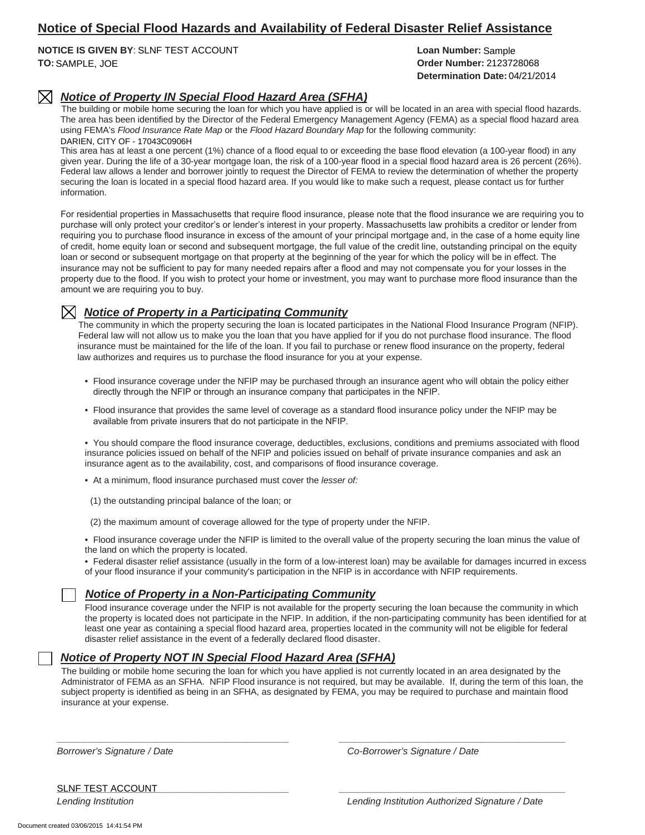## **Notice of Special Flood Hazards and Availability of Federal Disaster Relief Assistance**

**NOTICE IS GIVEN BY**: **Loan Number:** SLNF TEST ACCOUNT **TO: Order Number:** SAMPLE, JOE

**Determination Date:** 04/21/2014 Loan Number: Sample **Order Number: 2123728068** 

#### *Notice of Property IN Special Flood Hazard Area (SFHA)*  $\boxtimes$

The building or mobile home securing the loan for which you have applied is or will be located in an area with special flood hazards. The area has been identified by the Director of the Federal Emergency Management Agency (FEMA) as a special flood hazard area using FEMA's *Flood Insurance Rate Map* or the *Flood Hazard Boundary Map* for the following community: DARIEN, CITY OF - 17043C0906H

This area has at least a one percent (1%) chance of a flood equal to or exceeding the base flood elevation (a 100-year flood) in any given year. During the life of a 30-year mortgage loan, the risk of a 100-year flood in a special flood hazard area is 26 percent (26%). Federal law allows a lender and borrower jointly to request the Director of FEMA to review the determination of whether the property securing the loan is located in a special flood hazard area. If you would like to make such a request, please contact us for further information.

For residential properties in Massachusetts that require flood insurance, please note that the flood insurance we are requiring you to purchase will only protect your creditor's or lender's interest in your property. Massachusetts law prohibits a creditor or lender from requiring you to purchase flood insurance in excess of the amount of your principal mortgage and, in the case of a home equity line of credit, home equity loan or second and subsequent mortgage, the full value of the credit line, outstanding principal on the equity loan or second or subsequent mortgage on that property at the beginning of the year for which the policy will be in effect. The insurance may not be sufficient to pay for many needed repairs after a flood and may not compensate you for your losses in the property due to the flood. If you wish to protect your home or investment, you may want to purchase more flood insurance than the amount we are requiring you to buy.

### *Notice of Property in a Participating Community*

The community in which the property securing the loan is located participates in the National Flood Insurance Program (NFIP). Federal law will not allow us to make you the loan that you have applied for if you do not purchase flood insurance. The flood insurance must be maintained for the life of the loan. If you fail to purchase or renew flood insurance on the property, federal law authorizes and requires us to purchase the flood insurance for you at your expense.

- Flood insurance coverage under the NFIP may be purchased through an insurance agent who will obtain the policy either directly through the NFIP or through an insurance company that participates in the NFIP.
- Flood insurance that provides the same level of coverage as a standard flood insurance policy under the NFIP may be available from private insurers that do not participate in the NFIP.

• You should compare the flood insurance coverage, deductibles, exclusions, conditions and premiums associated with flood insurance policies issued on behalf of the NFIP and policies issued on behalf of private insurance companies and ask an insurance agent as to the availability, cost, and comparisons of flood insurance coverage.

• At a minimum, flood insurance purchased must cover the *lesser of:*

(1) the outstanding principal balance of the loan; or

(2) the maximum amount of coverage allowed for the type of property under the NFIP.

• Flood insurance coverage under the NFIP is limited to the overall value of the property securing the loan minus the value of the land on which the property is located.

• Federal disaster relief assistance (usually in the form of a low-interest loan) may be available for damages incurred in excess of your flood insurance if your community's participation in the NFIP is in accordance with NFIP requirements.

#### *Notice of Property in a Non-Participating Community*

Flood insurance coverage under the NFIP is not available for the property securing the loan because the community in which the property is located does not participate in the NFIP. In addition, if the non-participating community has been identified for at least one year as containing a special flood hazard area, properties located in the community will not be eligible for federal disaster relief assistance in the event of a federally declared flood disaster.

#### *Notice of Property NOT IN Special Flood Hazard Area (SFHA)*

The building or mobile home securing the loan for which you have applied is not currently located in an area designated by the Administrator of FEMA as an SFHA. NFIP Flood insurance is not required, but may be available. If, during the term of this loan, the subject property is identified as being in an SFHA, as designated by FEMA, you may be required to purchase and maintain flood insurance at your expense.

**\_\_\_\_\_\_\_\_\_\_\_\_\_\_\_\_\_\_\_\_\_\_\_\_\_\_\_\_\_\_\_\_\_\_\_\_\_\_\_\_\_\_\_\_ \_\_\_\_\_\_\_\_\_\_\_\_\_\_\_\_\_\_\_\_\_\_\_\_\_\_\_\_\_\_\_\_\_\_\_\_\_\_\_\_\_\_\_**

*Borrower's Signature / Date Co-Borrower's Signature / Date*

**\_\_\_\_\_\_\_\_\_\_\_\_\_\_\_\_\_\_\_\_\_\_\_\_\_\_\_\_\_\_\_\_\_\_\_\_\_\_\_\_\_\_\_\_ \_\_\_\_\_\_\_\_\_\_\_\_\_\_\_\_\_\_\_\_\_\_\_\_\_\_\_\_\_\_\_\_\_\_\_\_\_\_\_\_\_\_\_** SLNF TEST ACCOUNT

*Lending Institution Lending Institution Authorized Signature / Date*